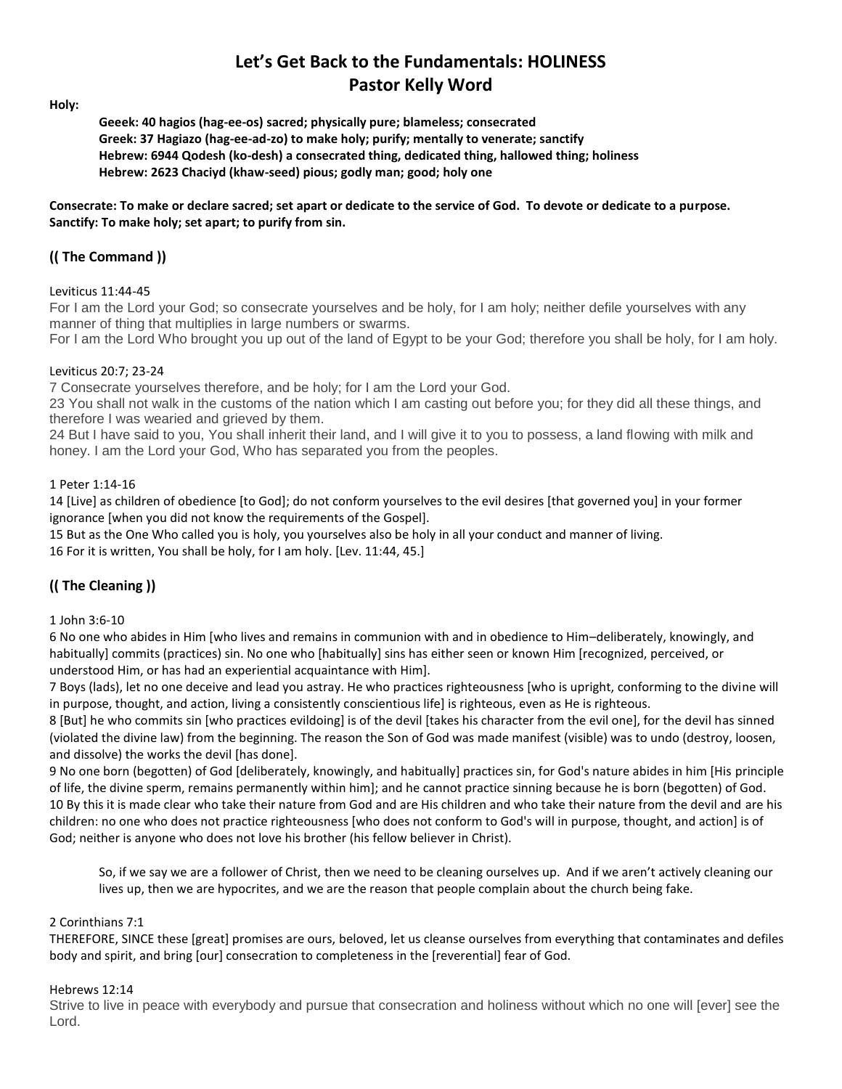# **Let's Get Back to the Fundamentals: HOLINESS Pastor Kelly Word**

**Holy:**

**Geeek: 40 hagios (hag-ee-os) sacred; physically pure; blameless; consecrated Greek: 37 Hagiazo (hag-ee-ad-zo) to make holy; purify; mentally to venerate; sanctify Hebrew: 6944 Qodesh (ko-desh) a consecrated thing, dedicated thing, hallowed thing; holiness Hebrew: 2623 Chaciyd (khaw-seed) pious; godly man; good; holy one**

**Consecrate: To make or declare sacred; set apart or dedicate to the service of God. To devote or dedicate to a purpose. Sanctify: To make holy; set apart; to purify from sin.**

## **(( The Command ))**

### Leviticus 11:44-45

For I am the Lord your God; so consecrate yourselves and be holy, for I am holy; neither defile yourselves with any manner of thing that multiplies in large numbers or swarms.

For I am the Lord Who brought you up out of the land of Egypt to be your God; therefore you shall be holy, for I am holy.

#### Leviticus 20:7; 23-24

7 Consecrate yourselves therefore, and be holy; for I am the Lord your God.

23 You shall not walk in the customs of the nation which I am casting out before you; for they did all these things, and therefore I was wearied and grieved by them.

24 But I have said to you, You shall inherit their land, and I will give it to you to possess, a land flowing with milk and honey. I am the Lord your God, Who has separated you from the peoples.

#### 1 Peter 1:14-16

14 [Live] as children of obedience [to God]; do not conform yourselves to the evil desires [that governed you] in your former ignorance [when you did not know the requirements of the Gospel].

15 But as the One Who called you is holy, you yourselves also be holy in all your conduct and manner of living. 16 For it is written, You shall be holy, for I am holy. [Lev. 11:44, 45.]

## **(( The Cleaning ))**

#### 1 John 3:6-10

6 No one who abides in Him [who lives and remains in communion with and in obedience to Him–deliberately, knowingly, and habitually] commits (practices) sin. No one who [habitually] sins has either seen or known Him [recognized, perceived, or understood Him, or has had an experiential acquaintance with Him].

7 Boys (lads), let no one deceive and lead you astray. He who practices righteousness [who is upright, conforming to the divine will in purpose, thought, and action, living a consistently conscientious life] is righteous, even as He is righteous.

8 [But] he who commits sin [who practices evildoing] is of the devil [takes his character from the evil one], for the devil has sinned (violated the divine law) from the beginning. The reason the Son of God was made manifest (visible) was to undo (destroy, loosen, and dissolve) the works the devil [has done].

9 No one born (begotten) of God [deliberately, knowingly, and habitually] practices sin, for God's nature abides in him [His principle of life, the divine sperm, remains permanently within him]; and he cannot practice sinning because he is born (begotten) of God. 10 By this it is made clear who take their nature from God and are His children and who take their nature from the devil and are his children: no one who does not practice righteousness [who does not conform to God's will in purpose, thought, and action] is of God; neither is anyone who does not love his brother (his fellow believer in Christ).

So, if we say we are a follower of Christ, then we need to be cleaning ourselves up. And if we aren't actively cleaning our lives up, then we are hypocrites, and we are the reason that people complain about the church being fake.

#### 2 Corinthians 7:1

THEREFORE, SINCE these [great] promises are ours, beloved, let us cleanse ourselves from everything that contaminates and defiles body and spirit, and bring [our] consecration to completeness in the [reverential] fear of God.

#### Hebrews 12:14

Strive to live in peace with everybody and pursue that consecration and holiness without which no one will [ever] see the Lord.